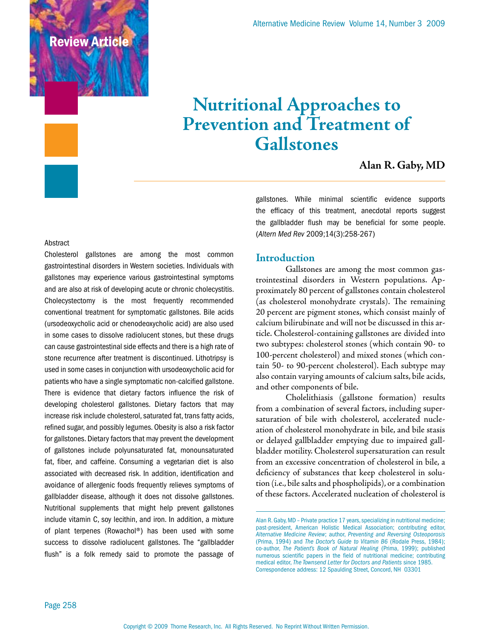Review Article

# **Nutritional Approaches to Prevention and Treatment of Gallstones**

# **Alan R. Gaby, MD**

#### Abstract

Cholesterol gallstones are among the most common gastrointestinal disorders in Western societies. Individuals with gallstones may experience various gastrointestinal symptoms and are also at risk of developing acute or chronic cholecystitis. Cholecystectomy is the most frequently recommended conventional treatment for symptomatic gallstones. Bile acids (ursodeoxycholic acid or chenodeoxycholic acid) are also used in some cases to dissolve radiolucent stones, but these drugs can cause gastrointestinal side effects and there is a high rate of stone recurrence after treatment is discontinued. Lithotripsy is used in some cases in conjunction with ursodeoxycholic acid for patients who have a single symptomatic non-calcified gallstone. There is evidence that dietary factors influence the risk of developing cholesterol gallstones. Dietary factors that may increase risk include cholesterol, saturated fat, trans fatty acids, refined sugar, and possibly legumes. Obesity is also a risk factor for gallstones. Dietary factors that may prevent the development of gallstones include polyunsaturated fat, monounsaturated fat, fiber, and caffeine. Consuming a vegetarian diet is also associated with decreased risk. In addition, identification and avoidance of allergenic foods frequently relieves symptoms of gallbladder disease, although it does not dissolve gallstones. Nutritional supplements that might help prevent gallstones include vitamin C, soy lecithin, and iron. In addition, a mixture of plant terpenes (Rowachol®) has been used with some success to dissolve radiolucent gallstones. The "gallbladder flush" is a folk remedy said to promote the passage of gallstones. While minimal scientific evidence supports the efficacy of this treatment, anecdotal reports suggest the gallbladder flush may be beneficial for some people. (*Altern Med Rev* 2009;14(3):258-267)

#### **Introduction**

Gallstones are among the most common gastrointestinal disorders in Western populations. Approximately 80 percent of gallstones contain cholesterol (as cholesterol monohydrate crystals). The remaining 20 percent are pigment stones, which consist mainly of calcium bilirubinate and will not be discussed in this article. Cholesterol-containing gallstones are divided into two subtypes: cholesterol stones (which contain 90- to 100-percent cholesterol) and mixed stones (which contain 50- to 90-percent cholesterol). Each subtype may also contain varying amounts of calcium salts, bile acids, and other components of bile.

Cholelithiasis (gallstone formation) results from a combination of several factors, including supersaturation of bile with cholesterol, accelerated nucleation of cholesterol monohydrate in bile, and bile stasis or delayed gallbladder emptying due to impaired gallbladder motility. Cholesterol supersaturation can result from an excessive concentration of cholesterol in bile, a deficiency of substances that keep cholesterol in solution (i.e., bile salts and phospholipids), or a combination of these factors. Accelerated nucleation of cholesterol is

Alan R. Gaby, MD – Private practice 17 years, specializing in nutritional medicine; past-president, American Holistic Medical Association; contributing editor, *Alternative Medicine Review*; author, *Preventing and Reversing Osteoporosis*  (Prima, 1994) and *The Doctor's Guide to Vitamin B6* (Rodale Press, 1984); co-author, *The Patient's Book of Natural Healing* (Prima, 1999); published numerous scientific papers in the field of nutritional medicine; contributing medical editor, *The Townsend Letter for Doctors and Patients* since 1985. Correspondence address: 12 Spaulding Street, Concord, NH 03301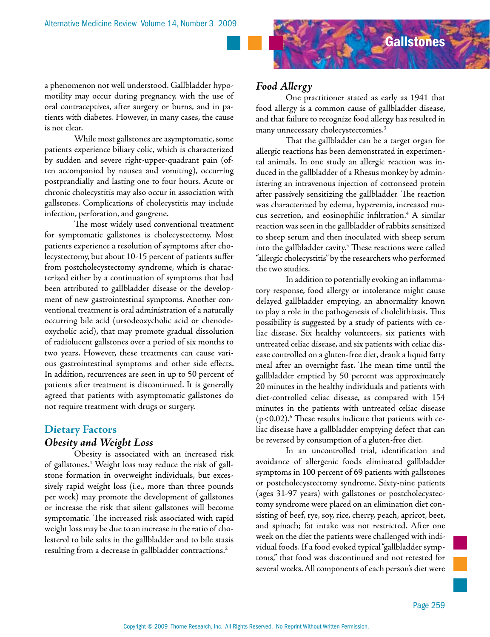

a phenomenon not well understood. Gallbladder hypomotility may occur during pregnancy, with the use of oral contraceptives, after surgery or burns, and in patients with diabetes. However, in many cases, the cause is not clear.

While most gallstones are asymptomatic, some patients experience biliary colic, which is characterized by sudden and severe right-upper-quadrant pain (often accompanied by nausea and vomiting), occurring postprandially and lasting one to four hours. Acute or chronic cholecystitis may also occur in association with gallstones. Complications of cholecystitis may include infection, perforation, and gangrene.

The most widely used conventional treatment for symptomatic gallstones is cholecystectomy. Most patients experience a resolution of symptoms after cholecystectomy, but about 10-15 percent of patients suffer from postcholecystectomy syndrome, which is characterized either by a continuation of symptoms that had been attributed to gallbladder disease or the development of new gastrointestinal symptoms. Another conventional treatment is oral administration of a naturally occurring bile acid (ursodeoxycholic acid or chenodeoxycholic acid), that may promote gradual dissolution of radiolucent gallstones over a period of six months to two years. However, these treatments can cause various gastrointestinal symptoms and other side effects. In addition, recurrences are seen in up to 50 percent of patients after treatment is discontinued. It is generally agreed that patients with asymptomatic gallstones do not require treatment with drugs or surgery.

#### **Dietary Factors**

#### *Obesity and Weight Loss*

Obesity is associated with an increased risk of gallstones.<sup>1</sup> Weight loss may reduce the risk of gallstone formation in overweight individuals, but excessively rapid weight loss (i.e., more than three pounds per week) may promote the development of gallstones or increase the risk that silent gallstones will become symptomatic. The increased risk associated with rapid weight loss may be due to an increase in the ratio of cholesterol to bile salts in the gallbladder and to bile stasis resulting from a decrease in gallbladder contractions.<sup>2</sup>

### *Food Allergy*

One practitioner stated as early as 1941 that food allergy is a common cause of gallbladder disease, and that failure to recognize food allergy has resulted in many unnecessary cholecystectomies.<sup>3</sup>

That the gallbladder can be a target organ for allergic reactions has been demonstrated in experimental animals. In one study an allergic reaction was induced in the gallbladder of a Rhesus monkey by administering an intravenous injection of cottonseed protein after passively sensitizing the gallbladder. The reaction was characterized by edema, hyperemia, increased mucus secretion, and eosinophilic infiltration.4 A similar reaction was seen in the gallbladder of rabbits sensitized to sheep serum and then inoculated with sheep serum into the gallbladder cavity.<sup>5</sup> These reactions were called "allergic cholecystitis" by the researchers who performed the two studies.

In addition to potentially evoking an inflammatory response, food allergy or intolerance might cause delayed gallbladder emptying, an abnormality known to play a role in the pathogenesis of cholelithiasis. This possibility is suggested by a study of patients with celiac disease. Six healthy volunteers, six patients with untreated celiac disease, and six patients with celiac disease controlled on a gluten-free diet, drank a liquid fatty meal after an overnight fast. The mean time until the gallbladder emptied by 50 percent was approximately 20 minutes in the healthy individuals and patients with diet-controlled celiac disease, as compared with 154 minutes in the patients with untreated celiac disease  $(p<0.02)$ .<sup>6</sup> These results indicate that patients with celiac disease have a gallbladder emptying defect that can be reversed by consumption of a gluten-free diet.

In an uncontrolled trial, identification and avoidance of allergenic foods eliminated gallbladder symptoms in 100 percent of 69 patients with gallstones or postcholecystectomy syndrome. Sixty-nine patients (ages 31-97 years) with gallstones or postcholecystectomy syndrome were placed on an elimination diet consisting of beef, rye, soy, rice, cherry, peach, apricot, beet, and spinach; fat intake was not restricted. After one week on the diet the patients were challenged with individual foods. If a food evoked typical "gallbladder symptoms," that food was discontinued and not retested for several weeks. All components of each person's diet were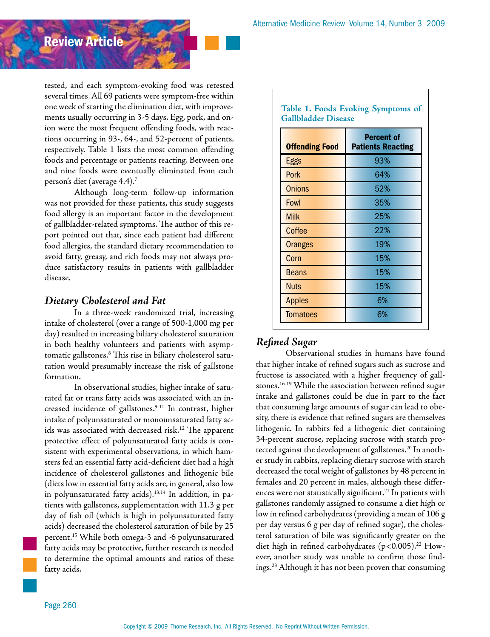# Review Article

tested, and each symptom-evoking food was retested several times. All 69 patients were symptom-free within one week of starting the elimination diet, with improvements usually occurring in 3-5 days. Egg, pork, and onion were the most frequent offending foods, with reactions occurring in 93-, 64-, and 52-percent of patients, respectively. Table 1 lists the most common offending foods and percentage or patients reacting. Between one and nine foods were eventually eliminated from each person's diet (average 4.4).7

Although long-term follow-up information was not provided for these patients, this study suggests food allergy is an important factor in the development of gallbladder-related symptoms. The author of this report pointed out that, since each patient had different food allergies, the standard dietary recommendation to avoid fatty, greasy, and rich foods may not always produce satisfactory results in patients with gallbladder disease.

# *Dietary Cholesterol and Fat*

In a three-week randomized trial, increasing intake of cholesterol (over a range of 500-1,000 mg per day) resulted in increasing biliary cholesterol saturation in both healthy volunteers and patients with asymptomatic gallstones.8 This rise in biliary cholesterol saturation would presumably increase the risk of gallstone formation.

In observational studies, higher intake of saturated fat or trans fatty acids was associated with an increased incidence of gallstones.9-11 In contrast, higher intake of polyunsaturated or monounsaturated fatty acids was associated with decreased risk.12 The apparent protective effect of polyunsaturated fatty acids is consistent with experimental observations, in which hamsters fed an essential fatty acid-deficient diet had a high incidence of cholesterol gallstones and lithogenic bile (diets low in essential fatty acids are, in general, also low in polyunsaturated fatty acids).<sup>13,14</sup> In addition, in patients with gallstones, supplementation with 11.3 g per day of fish oil (which is high in polyunsaturated fatty acids) decreased the cholesterol saturation of bile by 25 percent.15 While both omega-3 and -6 polyunsaturated fatty acids may be protective, further research is needed to determine the optimal amounts and ratios of these fatty acids.

| <b>Offending Food</b> | <b>Percent of</b><br><b>Patients Reacting</b> |
|-----------------------|-----------------------------------------------|
| Eggs                  | 93%                                           |
| Pork                  | 64%                                           |
| Onions                | 52%                                           |
| Fowl                  | 35%                                           |
| <b>Milk</b>           | 25%                                           |
| Coffee                | 22%                                           |
| Oranges               | 19%                                           |
| Corn                  | 15%                                           |
| Beans                 | 15%                                           |
| <b>Nuts</b>           | 15%                                           |
| <b>Apples</b>         | 6%                                            |
| <b>Tomatoes</b>       | 6%                                            |

# *Refined Sugar*

Observational studies in humans have found that higher intake of refined sugars such as sucrose and fructose is associated with a higher frequency of gallstones.16-19 While the association between refined sugar intake and gallstones could be due in part to the fact that consuming large amounts of sugar can lead to obesity, there is evidence that refined sugars are themselves lithogenic. In rabbits fed a lithogenic diet containing 34-percent sucrose, replacing sucrose with starch protected against the development of gallstones.<sup>20</sup> In another study in rabbits, replacing dietary sucrose with starch decreased the total weight of gallstones by 48 percent in females and 20 percent in males, although these differences were not statistically significant.<sup>21</sup> In patients with gallstones randomly assigned to consume a diet high or low in refined carbohydrates (providing a mean of 106 g per day versus 6 g per day of refined sugar), the cholesterol saturation of bile was significantly greater on the diet high in refined carbohydrates  $(p<0.005)$ .<sup>22</sup> However, another study was unable to confirm those findings.23 Although it has not been proven that consuming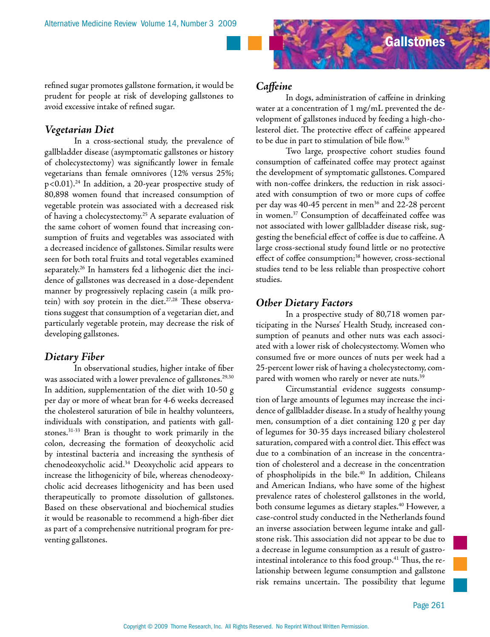

refined sugar promotes gallstone formation, it would be prudent for people at risk of developing gallstones to avoid excessive intake of refined sugar.

### *Vegetarian Diet*

In a cross-sectional study, the prevalence of gallbladder disease (asymptomatic gallstones or history of cholecystectomy) was significantly lower in female vegetarians than female omnivores (12% versus 25%;  $p<0.01$ ).<sup>24</sup> In addition, a 20-year prospective study of 80,898 women found that increased consumption of vegetable protein was associated with a decreased risk of having a cholecystectomy.<sup>25</sup> A separate evaluation of the same cohort of women found that increasing consumption of fruits and vegetables was associated with a decreased incidence of gallstones. Similar results were seen for both total fruits and total vegetables examined separately.26 In hamsters fed a lithogenic diet the incidence of gallstones was decreased in a dose-dependent manner by progressively replacing casein (a milk protein) with soy protein in the diet.<sup>27,28</sup> These observations suggest that consumption of a vegetarian diet, and particularly vegetable protein, may decrease the risk of developing gallstones.

#### *Dietary Fiber*

In observational studies, higher intake of fiber was associated with a lower prevalence of gallstones.<sup>29,30</sup> In addition, supplementation of the diet with 10-50 g per day or more of wheat bran for 4-6 weeks decreased the cholesterol saturation of bile in healthy volunteers, individuals with constipation, and patients with gallstones.31-33 Bran is thought to work primarily in the colon, decreasing the formation of deoxycholic acid by intestinal bacteria and increasing the synthesis of chenodeoxycholic acid.34 Deoxycholic acid appears to increase the lithogenicity of bile, whereas chenodeoxycholic acid decreases lithogenicity and has been used therapeutically to promote dissolution of gallstones. Based on these observational and biochemical studies it would be reasonable to recommend a high-fiber diet as part of a comprehensive nutritional program for preventing gallstones.

# *Caffeine*

In dogs, administration of caffeine in drinking water at a concentration of 1 mg/mL prevented the development of gallstones induced by feeding a high-cholesterol diet. The protective effect of caffeine appeared to be due in part to stimulation of bile flow.<sup>35</sup>

Two large, prospective cohort studies found consumption of caffeinated coffee may protect against the development of symptomatic gallstones. Compared with non-coffee drinkers, the reduction in risk associated with consumption of two or more cups of coffee per day was 40-45 percent in men<sup>36</sup> and 22-28 percent in women.37 Consumption of decaffeinated coffee was not associated with lower gallbladder disease risk, suggesting the beneficial effect of coffee is due to caffeine. A large cross-sectional study found little or no protective effect of coffee consumption;<sup>38</sup> however, cross-sectional studies tend to be less reliable than prospective cohort studies.

# *Other Dietary Factors*

In a prospective study of 80,718 women participating in the Nurses' Health Study, increased consumption of peanuts and other nuts was each associated with a lower risk of cholecystectomy. Women who consumed five or more ounces of nuts per week had a 25-percent lower risk of having a cholecystectomy, compared with women who rarely or never ate nuts.<sup>39</sup>

Circumstantial evidence suggests consumption of large amounts of legumes may increase the incidence of gallbladder disease. In a study of healthy young men, consumption of a diet containing 120 g per day of legumes for 30-35 days increased biliary cholesterol saturation, compared with a control diet. This effect was due to a combination of an increase in the concentration of cholesterol and a decrease in the concentration of phospholipids in the bile.<sup>40</sup> In addition, Chileans and American Indians, who have some of the highest prevalence rates of cholesterol gallstones in the world, both consume legumes as dietary staples.<sup>40</sup> However, a case-control study conducted in the Netherlands found an inverse association between legume intake and gallstone risk. This association did not appear to be due to a decrease in legume consumption as a result of gastrointestinal intolerance to this food group.<sup>41</sup> Thus, the relationship between legume consumption and gallstone risk remains uncertain. The possibility that legume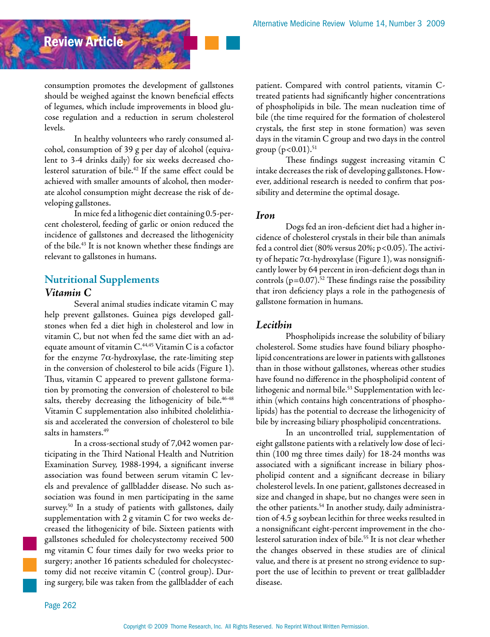consumption promotes the development of gallstones should be weighed against the known beneficial effects of legumes, which include improvements in blood glucose regulation and a reduction in serum cholesterol levels.

In healthy volunteers who rarely consumed alcohol, consumption of 39 g per day of alcohol (equivalent to 3-4 drinks daily) for six weeks decreased cholesterol saturation of bile.42 If the same effect could be achieved with smaller amounts of alcohol, then moderate alcohol consumption might decrease the risk of developing gallstones.

In mice fed a lithogenic diet containing 0.5-percent cholesterol, feeding of garlic or onion reduced the incidence of gallstones and decreased the lithogenicity of the bile.43 It is not known whether these findings are relevant to gallstones in humans.

# **Nutritional Supplements** *Vitamin C*

Review Article

Several animal studies indicate vitamin C may help prevent gallstones. Guinea pigs developed gallstones when fed a diet high in cholesterol and low in vitamin C, but not when fed the same diet with an adequate amount of vitamin C.<sup>44,45</sup> Vitamin C is a cofactor for the enzyme  $7\alpha$ -hydroxylase, the rate-limiting step in the conversion of cholesterol to bile acids (Figure 1). Thus, vitamin C appeared to prevent gallstone formation by promoting the conversion of cholesterol to bile salts, thereby decreasing the lithogenicity of bile.<sup>46-48</sup> Vitamin C supplementation also inhibited cholelithiasis and accelerated the conversion of cholesterol to bile salts in hamsters.<sup>49</sup>

In a cross-sectional study of 7,042 women participating in the Third National Health and Nutrition Examination Survey, 1988-1994, a significant inverse association was found between serum vitamin C levels and prevalence of gallbladder disease. No such association was found in men participating in the same survey.<sup>50</sup> In a study of patients with gallstones, daily supplementation with 2 g vitamin C for two weeks decreased the lithogenicity of bile. Sixteen patients with gallstones scheduled for cholecystectomy received 500 mg vitamin C four times daily for two weeks prior to surgery; another 16 patients scheduled for cholecystectomy did not receive vitamin C (control group). During surgery, bile was taken from the gallbladder of each

patient. Compared with control patients, vitamin Ctreated patients had significantly higher concentrations of phospholipids in bile. The mean nucleation time of bile (the time required for the formation of cholesterol crystals, the first step in stone formation) was seven days in the vitamin C group and two days in the control group  $(p<0.01).$ <sup>51</sup>

These findings suggest increasing vitamin C intake decreases the risk of developing gallstones. However, additional research is needed to confirm that possibility and determine the optimal dosage.

#### *Iron*

Dogs fed an iron-deficient diet had a higher incidence of cholesterol crystals in their bile than animals fed a control diet (80% versus 20%; p<0.05). The activity of hepatic 7α-hydroxylase (Figure 1), was nonsignificantly lower by 64 percent in iron-deficient dogs than in controls  $(p=0.07)$ <sup>52</sup> These findings raise the possibility that iron deficiency plays a role in the pathogenesis of gallstone formation in humans.

# *Lecithin*

Phospholipids increase the solubility of biliary cholesterol. Some studies have found biliary phospholipid concentrations are lower in patients with gallstones than in those without gallstones, whereas other studies have found no difference in the phospholipid content of lithogenic and normal bile.<sup>53</sup> Supplementation with lecithin (which contains high concentrations of phospholipids) has the potential to decrease the lithogenicity of bile by increasing biliary phospholipid concentrations.

In an uncontrolled trial, supplementation of eight gallstone patients with a relatively low dose of lecithin (100 mg three times daily) for 18-24 months was associated with a significant increase in biliary phospholipid content and a significant decrease in biliary cholesterol levels. In one patient, gallstones decreased in size and changed in shape, but no changes were seen in the other patients.54 In another study, daily administration of 4.5 g soybean lecithin for three weeks resulted in a nonsignificant eight-percent improvement in the cholesterol saturation index of bile.55 It is not clear whether the changes observed in these studies are of clinical value, and there is at present no strong evidence to support the use of lecithin to prevent or treat gallbladder disease.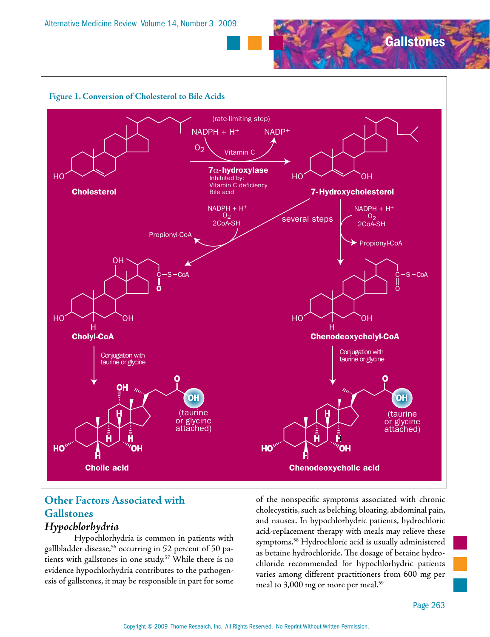



# **Other Factors Associated with Gallstones**

# *Hypochlorhydria*

Hypochlorhydria is common in patients with gallbladder disease,<sup>56</sup> occurring in 52 percent of 50 patients with gallstones in one study.<sup>57</sup> While there is no evidence hypochlorhydria contributes to the pathogenesis of gallstones, it may be responsible in part for some of the nonspecific symptoms associated with chronic cholecystitis, such as belching, bloating, abdominal pain, and nausea. In hypochlorhydric patients, hydrochloric acid-replacement therapy with meals may relieve these symptoms.58 Hydrochloric acid is usually administered as betaine hydrochloride. The dosage of betaine hydrochloride recommended for hypochlorhydric patients varies among different practitioners from 600 mg per meal to 3,000 mg or more per meal.<sup>59</sup>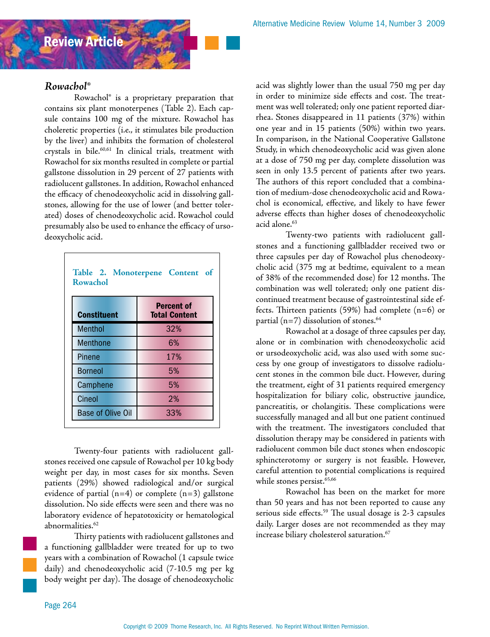

### *Rowachol®*

Rowachol® is a proprietary preparation that contains six plant monoterpenes (Table 2). Each capsule contains 100 mg of the mixture. Rowachol has choleretic properties (i.e., it stimulates bile production by the liver) and inhibits the formation of cholesterol crystals in bile.60,61 In clinical trials, treatment with Rowachol for six months resulted in complete or partial gallstone dissolution in 29 percent of 27 patients with radiolucent gallstones. In addition, Rowachol enhanced the efficacy of chenodeoxycholic acid in dissolving gallstones, allowing for the use of lower (and better tolerated) doses of chenodeoxycholic acid. Rowachol could presumably also be used to enhance the efficacy of ursodeoxycholic acid.

| <b>Constituent</b>       | <b>Percent of</b><br><b>Total Content</b> |
|--------------------------|-------------------------------------------|
| <b>Menthol</b>           | 32%                                       |
| <b>Menthone</b>          | 6%                                        |
| Pinene                   | 17%                                       |
| <b>Borneol</b>           | 5%                                        |
| Camphene                 | 5%                                        |
| Cineol                   | 2%                                        |
| <b>Base of Olive Oil</b> | 33%                                       |

Twenty-four patients with radiolucent gallstones received one capsule of Rowachol per 10 kg body weight per day, in most cases for six months. Seven patients (29%) showed radiological and/or surgical evidence of partial (n=4) or complete (n=3) gallstone dissolution. No side effects were seen and there was no laboratory evidence of hepatotoxicity or hematological abnormalities.<sup>62</sup>

Thirty patients with radiolucent gallstones and a functioning gallbladder were treated for up to two years with a combination of Rowachol (1 capsule twice daily) and chenodeoxycholic acid (7-10.5 mg per kg body weight per day). The dosage of chenodeoxycholic acid was slightly lower than the usual 750 mg per day in order to minimize side effects and cost. The treatment was well tolerated; only one patient reported diarrhea. Stones disappeared in 11 patients (37%) within one year and in 15 patients (50%) within two years. In comparison, in the National Cooperative Gallstone Study, in which chenodeoxycholic acid was given alone at a dose of 750 mg per day, complete dissolution was seen in only 13.5 percent of patients after two years. The authors of this report concluded that a combination of medium-dose chenodeoxycholic acid and Rowachol is economical, effective, and likely to have fewer adverse effects than higher doses of chenodeoxycholic acid alone.<sup>63</sup>

Twenty-two patients with radiolucent gallstones and a functioning gallbladder received two or three capsules per day of Rowachol plus chenodeoxycholic acid (375 mg at bedtime, equivalent to a mean of 38% of the recommended dose) for 12 months. The combination was well tolerated; only one patient discontinued treatment because of gastrointestinal side effects. Thirteen patients (59%) had complete (n=6) or partial ( $n=7$ ) dissolution of stones.<sup>64</sup>

Rowachol at a dosage of three capsules per day, alone or in combination with chenodeoxycholic acid or ursodeoxycholic acid, was also used with some success by one group of investigators to dissolve radiolucent stones in the common bile duct. However, during the treatment, eight of 31 patients required emergency hospitalization for biliary colic, obstructive jaundice, pancreatitis, or cholangitis. These complications were successfully managed and all but one patient continued with the treatment. The investigators concluded that dissolution therapy may be considered in patients with radiolucent common bile duct stones when endoscopic sphincterotomy or surgery is not feasible. However, careful attention to potential complications is required while stones persist.<sup>65,66</sup>

Rowachol has been on the market for more than 50 years and has not been reported to cause any serious side effects.<sup>59</sup> The usual dosage is 2-3 capsules daily. Larger doses are not recommended as they may increase biliary cholesterol saturation.67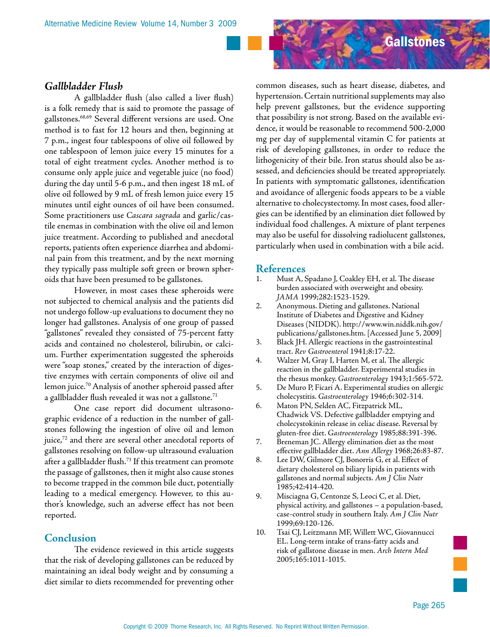

A gallbladder flush (also called a liver flush) is a folk remedy that is said to promote the passage of gallstones.68,69 Several different versions are used. One method is to fast for 12 hours and then, beginning at 7 p.m., ingest four tablespoons of olive oil followed by one tablespoon of lemon juice every 15 minutes for a total of eight treatment cycles. Another method is to consume only apple juice and vegetable juice (no food) during the day until 5-6 p.m., and then ingest 18 mL of olive oil followed by 9 mL of fresh lemon juice every 15 minutes until eight ounces of oil have been consumed. Some practitioners use *Cascara sagrada* and garlic/castile enemas in combination with the olive oil and lemon juice treatment. According to published and anecdotal reports, patients often experience diarrhea and abdominal pain from this treatment, and by the next morning they typically pass multiple soft green or brown spheroids that have been presumed to be gallstones.

However, in most cases these spheroids were not subjected to chemical analysis and the patients did not undergo follow-up evaluations to document they no longer had gallstones. Analysis of one group of passed "gallstones" revealed they consisted of 75-percent fatty acids and contained no cholesterol, bilirubin, or calcium. Further experimentation suggested the spheroids were "soap stones," created by the interaction of digestive enzymes with certain components of olive oil and lemon juice.70 Analysis of another spheroid passed after a gallbladder flush revealed it was not a gallstone. $71$ 

One case report did document ultrasonographic evidence of a reduction in the number of gallstones following the ingestion of olive oil and lemon juice,<sup>72</sup> and there are several other anecdotal reports of gallstones resolving on follow-up ultrasound evaluation after a gallbladder flush.73 If this treatment can promote the passage of gallstones, then it might also cause stones to become trapped in the common bile duct, potentially leading to a medical emergency. However, to this author's knowledge, such an adverse effect has not been reported.

#### **Conclusion**

The evidence reviewed in this article suggests that the risk of developing gallstones can be reduced by maintaining an ideal body weight and by consuming a diet similar to diets recommended for preventing other



common diseases, such as heart disease, diabetes, and hypertension. Certain nutritional supplements may also help prevent gallstones, but the evidence supporting that possibility is not strong. Based on the available evidence, it would be reasonable to recommend 500-2,000 mg per day of supplemental vitamin C for patients at risk of developing gallstones, in order to reduce the lithogenicity of their bile. Iron status should also be assessed, and deficiencies should be treated appropriately. In patients with symptomatic gallstones, identification and avoidance of allergenic foods appears to be a viable alternative to cholecystectomy. In most cases, food allergies can be identified by an elimination diet followed by individual food challenges. A mixture of plant terpenes may also be useful for dissolving radiolucent gallstones, particularly when used in combination with a bile acid.

#### **References**

- 1. Must A, Spadano J, Coakley EH, et al. The disease burden associated with overweight and obesity. *JAMA* 1999;282:1523-1529.
- 2. Anonymous. Dieting and gallstones. National Institute of Diabetes and Digestive and Kidney Diseases (NIDDK). http://www.win.niddk.nih.gov/ publications/gallstones.htm. [Accessed June 5, 2009]
- 3. Black JH. Allergic reactions in the gastrointestinal tract. *Rev Gastroenterol* 1941;8:17-22.
- 4. Walzer M, Gray I, Harten M, et al. The allergic reaction in the gallbladder. Experimental studies in the rhesus monkey. *Gastroenterology* 1943;1:565-572.
- 5. De Muro P, Ficari A. Experimental studies on allergic cholecystitis. *Gastroenterology* 1946;6:302-314.
- 6. Maton PN, Selden AC, Fitzpatrick ML, Chadwick VS. Defective gallbladder emptying and cholecystokinin release in celiac disease. Reversal by gluten-free diet. *Gastroenterology* 1985;88:391-396.
- 7. Breneman JC. Allergy elimination diet as the most effective gallbladder diet. *Ann Allergy* 1968;26:83-87.
- 8. Lee DW, Gilmore CJ, Bonorris G, et al. Effect of dietary cholesterol on biliary lipids in patients with gallstones and normal subjects. *Am J Clin Nutr* 1985;42:414-420.
- 9. Misciagna G, Centonze S, Leoci C, et al. Diet, physical activity, and gallstones – a population-based, case-control study in southern Italy. *Am J Clin Nutr*  1999;69:120-126.
- 10. Tsai CJ, Leitzmann MF, Willett WC, Giovannucci EL. Long-term intake of trans-fatty acids and risk of gallstone disease in men. *Arch Intern Med* 2005;165:1011-1015.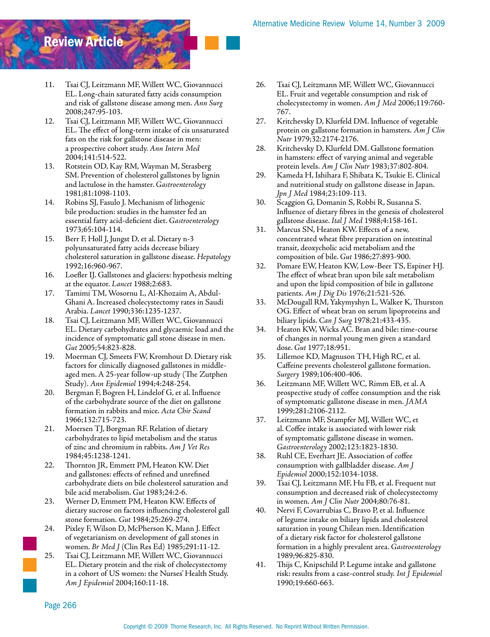# Review Article

- 11. Tsai CJ, Leitzmann MF, Willett WC, Giovannucci EL. Long-chain saturated fatty acids consumption and risk of gallstone disease among men. *Ann Surg* 2008;247:95-103.
- 12. Tsai CJ, Leitzmann MF, Willett WC, Giovannucci EL. The effect of long-term intake of cis unsaturated fats on the risk for gallstone disease in men: a prospective cohort study. *Ann Intern Med*  2004;141:514-522.
- 13. Rotstein OD, Kay RM, Wayman M, Strasberg SM. Prevention of cholesterol gallstones by lignin and lactulose in the hamster. *Gastroenterology*  1981;81:1098-1103.
- 14. Robins SJ, Fasulo J. Mechanism of lithogenic bile production: studies in the hamster fed an essential fatty acid-deficient diet. *Gastroenterology* 1973;65:104-114.
- 15. Berr F, Holl J, Jungst D, et al. Dietary n-3 polyunsaturated fatty acids decrease biliary cholesterol saturation in gallstone disease. *Hepatology* 1992;16:960-967.
- 16. Loefler IJ. Gallstones and glaciers: hypothesis melting at the equator. *Lancet* 1988;2:683.
- 17. Tamimi TM, Wosornu L, Al-Khozaim A, Abdul-Ghani A. Increased cholecystectomy rates in Saudi Arabia. *Lancet* 1990;336:1235-1237.
- 18. Tsai CJ, Leitzmann MF, Willett WC, Giovannucci EL. Dietary carbohydrates and glycaemic load and the incidence of symptomatic gall stone disease in men. *Gut* 2005;54:823-828.
- 19. Moerman CJ, Smeets FW, Kromhout D. Dietary risk factors for clinically diagnosed gallstones in middleaged men. A 25-year follow-up study (The Zutphen Study). *Ann Epidemiol* 1994;4:248-254.
- 20. Bergman F, Bogren H, Lindelof G, et al. Influence of the carbohydrate source of the diet on gallstone formation in rabbits and mice. *Acta Chir Scand*  1966;132:715-723.
- 21. Moersen TJ, Borgman RF. Relation of dietary carbohydrates to lipid metabolism and the status of zinc and chromium in rabbits. *Am J Vet Res*  1984;45:1238-1241.
- 22. Thornton JR, Emmett PM, Heaton KW. Diet and gallstones: effects of refined and unrefined carbohydrate diets on bile cholesterol saturation and bile acid metabolism. *Gut* 1983;24:2-6.
- 23. Werner D, Emmett PM, Heaton KW. Effects of dietary sucrose on factors influencing cholesterol gall stone formation. *Gut* 1984;25:269-274.
- 24. Pixley F, Wilson D, McPherson K, Mann J. Effect of vegetarianism on development of gall stones in women. *Br Med J* (Clin Res Ed) 1985;291:11-12.
- 25. Tsai CJ, Leitzmann MF, Willett WC, Giovannucci EL. Dietary protein and the risk of cholecystectomy in a cohort of US women: the Nurses' Health Study. *Am J Epidemiol* 2004;160:11-18.
- 26. Tsai CJ, Leitzmann MF, Willett WC, Giovannucci EL. Fruit and vegetable consumption and risk of cholecystectomy in women. *Am J Med* 2006;119:760- 767.
- 27. Kritchevsky D, Klurfeld DM. Influence of vegetable protein on gallstone formation in hamsters. *Am J Clin Nutr* 1979;32:2174-2176.
- 28. Kritchevsky D, Klurfeld DM. Gallstone formation in hamsters: effect of varying animal and vegetable protein levels. *Am J Clin Nutr* 1983;37:802-804.
- 29. Kameda H, Ishihara F, Shibata K, Tsukie E. Clinical and nutritional study on gallstone disease in Japan. *Jpn J Med* 1984;23:109-113.
- 30. Scaggion G, Domanin S, Robbi R, Susanna S. Influence of dietary fibres in the genesis of cholesterol gallstone disease. *Ital J Med* 1988;4:158-161.
- 31. Marcus SN, Heaton KW. Effects of a new, concentrated wheat fibre preparation on intestinal transit, deoxycholic acid metabolism and the composition of bile. *Gut* 1986;27:893-900.
- 32. Pomare EW, Heaton KW, Low-Beer TS, Espiner HJ. The effect of wheat bran upon bile salt metabolism and upon the lipid composition of bile in gallstone patients. *Am J Dig Dis* 1976;21:521-526.
- 33. McDougall RM, Yakymyshyn L, Walker K, Thurston OG. Effect of wheat bran on serum lipoproteins and biliary lipids. *Can J Surg* 1978;21:433-435.
- 34. Heaton KW, Wicks AC. Bran and bile: time-course of changes in normal young men given a standard dose. *Gut* 1977;18:951.
- 35. Lillemoe KD, Magnuson TH, High RC, et al. Caffeine prevents cholesterol gallstone formation. *Surgery* 1989;106:400-406.
- 36. Leitzmann MF, Willett WC, Rimm EB, et al. A prospective study of coffee consumption and the risk of symptomatic gallstone disease in men. *JAMA*  1999;281:2106-2112.
- 37. Leitzmann MF, Stampfer MJ, Willett WC, et al. Coffee intake is associated with lower risk of symptomatic gallstone disease in women. *Gastroenterology* 2002;123:1823-1830.
- 38. Ruhl CE, Everhart JE. Association of coffee consumption with gallbladder disease. *Am J Epidemiol* 2000;152:1034-1038.
- 39. Tsai CJ, Leitzmann MF, Hu FB, et al. Frequent nut consumption and decreased risk of cholecystectomy in women. *Am J Clin Nutr* 2004;80:76-81.
- 40. Nervi F, Covarrubias C, Bravo P, et al. Influence of legume intake on biliary lipids and cholesterol saturation in young Chilean men. Identification of a dietary risk factor for cholesterol gallstone formation in a highly prevalent area. *Gastroenterology* 1989;96:825-830.
- 41. Thijs C, Knipschild P. Legume intake and gallstone risk: results from a case-control study. *Int J Epidemiol*  1990;19:660-663.

Page 266